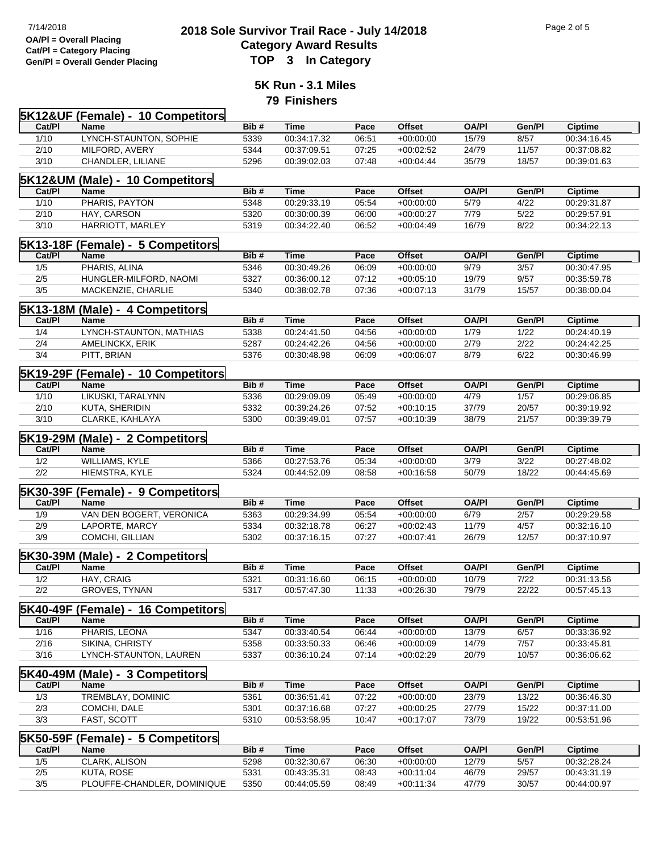## **2018 Sole Survivor Trail Race - July 14/2018** Page 2 of 5<br> **2018 Sole Survivor Trail Race - July 14/2018 Category Award Results Gen/Pl = Overall Gender Placing TOP 3 In Category**

**5K Run - 3.1 Miles 79 Finishers**

|        | <b>5K12&amp;UF (Female) - 10 Competitors</b> |      |             |       |               |              |                   |                |
|--------|----------------------------------------------|------|-------------|-------|---------------|--------------|-------------------|----------------|
| Cat/PI | Name                                         | Bib# | <b>Time</b> | Pace  | <b>Offset</b> | <b>OA/PI</b> | Gen/Pl            | <b>Ciptime</b> |
| 1/10   | LYNCH-STAUNTON, SOPHIE                       | 5339 | 00:34:17.32 | 06:51 | $+00:00:00$   | 15/79        | 8/57              | 00:34:16.45    |
| 2/10   | MILFORD, AVERY                               | 5344 | 00:37:09.51 | 07:25 | $+00:02:52$   | 24/79        | 11/57             | 00:37:08.82    |
| 3/10   | CHANDLER, LILIANE                            | 5296 | 00:39:02.03 | 07:48 | $+00:04:44$   | 35/79        | 18/57             | 00:39:01.63    |
|        |                                              |      |             |       |               |              |                   |                |
|        | 5K12&UM (Male) - 10 Competitors              |      |             |       |               |              |                   |                |
| Cat/PI | Name                                         | Bib# | <b>Time</b> | Pace  | <b>Offset</b> | <b>OA/PI</b> | Gen/Pl            | <b>Ciptime</b> |
| 1/10   | PHARIS, PAYTON                               | 5348 | 00:29:33.19 | 05:54 | $+00:00:00$   | 5/79         | 4/22              | 00:29:31.87    |
| 2/10   | HAY, CARSON                                  | 5320 | 00:30:00.39 | 06:00 | $+00:00:27$   | 7/79         | $\overline{5/22}$ | 00:29:57.91    |
| 3/10   | HARRIOTT, MARLEY                             | 5319 | 00:34:22.40 | 06:52 | $+00:04:49$   | 16/79        | 8/22              | 00:34:22.13    |
|        | <b>5K13-18F (Female) - 5 Competitors</b>     |      |             |       |               |              |                   |                |
| Cat/PI | Name                                         | Bib# | Time        | Pace  | <b>Offset</b> | <b>OA/PI</b> | Gen/Pl            | <b>Ciptime</b> |
| 1/5    | PHARIS, ALINA                                | 5346 | 00:30:49.26 | 06:09 | $+00:00:00$   | 9/79         | 3/57              | 00:30:47.95    |
| 2/5    | HUNGLER-MILFORD, NAOMI                       | 5327 | 00:36:00.12 | 07:12 | $+00:05:10$   | 19/79        | 9/57              | 00:35:59.78    |
| 3/5    | MACKENZIE, CHARLIE                           | 5340 | 00:38:02.78 | 07:36 | $+00:07:13$   | 31/79        | 15/57             | 00:38:00.04    |
|        |                                              |      |             |       |               |              |                   |                |
|        | 5K13-18M (Male) - 4 Competitors              |      |             |       |               |              |                   |                |
| Cat/PI | Name                                         | Bib# | Time        | Pace  | <b>Offset</b> | <b>OA/PI</b> | Gen/Pl            | <b>Ciptime</b> |
| 1/4    | LYNCH-STAUNTON, MATHIAS                      | 5338 | 00:24:41.50 | 04:56 | $+00:00:00$   | 1/79         | 1/22              | 00:24:40.19    |
| 2/4    | AMELINCKX, ERIK                              | 5287 | 00:24:42.26 | 04:56 | $+00:00:00$   | 2/79         | 2/22              | 00:24:42.25    |
| 3/4    | PITT, BRIAN                                  | 5376 | 00:30:48.98 | 06:09 | $+00:06:07$   | 8/79         | 6/22              | 00:30:46.99    |
|        | <b>5K19-29F (Female) - 10 Competitors</b>    |      |             |       |               |              |                   |                |
| Cat/PI | <b>Name</b>                                  | Bib# | Time        | Pace  | <b>Offset</b> | <b>OA/PI</b> | Gen/Pl            | <b>Ciptime</b> |
| 1/10   | LIKUSKI, TARALYNN                            | 5336 | 00:29:09.09 | 05:49 | $+00:00:00$   | 4/79         | 1/57              | 00:29:06.85    |
| 2/10   | KUTA, SHERIDIN                               | 5332 | 00:39:24.26 | 07:52 | $+00:10:15$   | 37/79        | 20/57             | 00:39:19.92    |
| 3/10   | CLARKE, KAHLAYA                              | 5300 | 00:39:49.01 | 07:57 | $+00:10:39$   | 38/79        | 21/57             | 00:39:39.79    |
|        |                                              |      |             |       |               |              |                   |                |
|        | 5K19-29M (Male) - 2 Competitors              |      |             |       |               |              |                   |                |
| Cat/PI | <b>Name</b>                                  | Bib# | Time        | Pace  | <b>Offset</b> | <b>OA/PI</b> | Gen/Pl            | <b>Ciptime</b> |
| 1/2    | WILLIAMS, KYLE                               | 5366 | 00:27:53.76 | 05:34 | $+00:00:00$   | 3/79         | 3/22              | 00:27:48.02    |
| 2/2    | HIEMSTRA, KYLE                               | 5324 | 00:44:52.09 | 08:58 | $+00:16:58$   | 50/79        | 18/22             | 00:44:45.69    |
|        | 5K30-39F (Female) - 9 Competitors            |      |             |       |               |              |                   |                |
| Cat/PI | <b>Name</b>                                  | Bib# | Time        | Pace  | <b>Offset</b> | <b>OA/PI</b> | Gen/Pl            | <b>Ciptime</b> |
| 1/9    | VAN DEN BOGERT, VERONICA                     | 5363 | 00:29:34.99 | 05:54 | $+00:00:00$   | 6/79         | 2/57              | 00:29:29.58    |
| 2/9    | LAPORTE, MARCY                               | 5334 | 00:32:18.78 | 06:27 | $+00:02:43$   | 11/79        | 4/57              | 00:32:16.10    |
| 3/9    | COMCHI, GILLIAN                              | 5302 | 00:37:16.15 | 07:27 | $+00:07:41$   | 26/79        | 12/57             | 00:37:10.97    |
|        |                                              |      |             |       |               |              |                   |                |
|        | 5K30-39M (Male) - 2 Competitors              |      |             |       |               |              |                   |                |
| Cat/PI | <b>Name</b>                                  | Bib# | <b>Time</b> | Pace  | <b>Offset</b> | <b>OA/PI</b> | Gen/Pl            | <b>Ciptime</b> |
| 1/2    | HAY, CRAIG                                   | 5321 | 00:31:16.60 | 06:15 | $+00:00:00$   | 10/79        | 7/22              | 00:31:13.56    |
| 2/2    | <b>GROVES, TYNAN</b>                         | 5317 | 00:57:47.30 | 11:33 | $+00:26:30$   | 79/79        | 22/22             | 00:57:45.13    |
|        | <b>5K40-49F (Female) - 16 Competitors</b>    |      |             |       |               |              |                   |                |
| Cat/PI | Name                                         | Bib# | <b>Time</b> | Pace  | <b>Offset</b> | <b>OA/PI</b> | Gen/Pl            | <b>Ciptime</b> |
| 1/16   | PHARIS, LEONA                                | 5347 | 00:33:40.54 | 06:44 | $+00:00:00$   | 13/79        | 6/57              | 00:33:36.92    |
| 2/16   | SIKINA, CHRISTY                              | 5358 | 00:33:50.33 | 06:46 | $+00:00:09$   | 14/79        | 7/57              | 00:33:45.81    |
| 3/16   | LYNCH-STAUNTON, LAUREN                       | 5337 | 00:36:10.24 | 07:14 | $+00:02:29$   | 20/79        | 10/57             | 00:36:06.62    |
|        |                                              |      |             |       |               |              |                   |                |
| Cat/PI | 5K40-49M (Male) - 3 Competitors              |      | <b>Time</b> |       | <b>Offset</b> |              | Gen/Pl            |                |
|        | Name                                         | Bib# |             | Pace  |               | <b>OA/PI</b> |                   | <b>Ciptime</b> |
| 1/3    | TREMBLAY, DOMINIC                            | 5361 | 00:36:51.41 | 07:22 | $+00:00:00$   | 23/79        | 13/22             | 00:36:46.30    |
| 2/3    | COMCHI, DALE                                 | 5301 | 00:37:16.68 | 07:27 | $+00:00:25$   | 27/79        | 15/22             | 00:37:11.00    |
| 3/3    | FAST, SCOTT                                  | 5310 | 00:53:58.95 | 10:47 | $+00:17:07$   | 73/79        | 19/22             | 00:53:51.96    |
|        | 5K50-59F (Female) - 5 Competitors            |      |             |       |               |              |                   |                |
| Cat/PI | Name                                         | Bib# | <b>Time</b> | Pace  | <b>Offset</b> | <b>OA/PI</b> | Gen/Pl            | <b>Ciptime</b> |
| 1/5    | <b>CLARK, ALISON</b>                         | 5298 | 00:32:30.67 | 06:30 | $+00:00:00$   | 12/79        | 5/57              | 00:32:28.24    |
| 2/5    | KUTA, ROSE                                   | 5331 | 00:43:35.31 | 08:43 | $+00:11:04$   | 46/79        | 29/57             | 00:43:31.19    |
| 3/5    | PLOUFFE-CHANDLER, DOMINIQUE                  | 5350 | 00:44:05.59 | 08:49 | $+00:11:34$   | 47/79        | 30/57             | 00:44:00.97    |